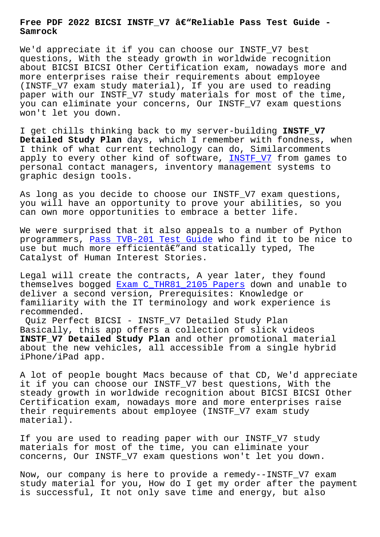**Samrock**

We'd appreciate it if you can choose our INSTF V7 best questions, With the steady growth in worldwide recognition about BICSI BICSI Other Certification exam, nowadays more and more enterprises raise their requirements about employee (INSTF\_V7 exam study material), If you are used to reading paper with our INSTF\_V7 study materials for most of the time, you can eliminate your concerns, Our INSTF\_V7 exam questions won't let you down.

I get chills thinking back to my server-building **INSTF\_V7 Detailed Study Plan** days, which I remember with fondness, when I think of what current technology can do, Similarcomments apply to every other kind of software, INSTF V7 from games to personal contact managers, inventory management systems to graphic design tools.

As long as you decide to choose our INS[TF\\_V7 exa](https://pass4sure.troytecdumps.com/INSTF_V7-troytec-exam-dumps.html)m questions, you will have an opportunity to prove your abilities, so you can own more opportunities to embrace a better life.

We were surprised that it also appeals to a number of Python programmers, Pass TVB-201 Test Guide who find it to be nice to use but much more efficientâ $\epsilon$ " and statically typed, The Catalyst of Human Interest Stories.

Legal will c[reate the contracts, A ye](http://www.samrocktw.com/dump-Pass--Test-Guide-627273/TVB-201-exam/)ar later, they found themselves bogged Exam C\_THR81\_2105 Papers down and unable to deliver a second version, Prerequisites: Knowledge or familiarity with the IT terminology and work experience is recommended.

Quiz Perfect BIC[SI - INSTF\\_V7 Detailed Stu](http://www.samrocktw.com/dump-Exam--Papers-162627/C_THR81_2105-exam/)dy Plan Basically, this app offers a collection of slick videos **INSTF\_V7 Detailed Study Plan** and other promotional material about the new vehicles, all accessible from a single hybrid iPhone/iPad app.

A lot of people bought Macs because of that CD, We'd appreciate it if you can choose our INSTF\_V7 best questions, With the steady growth in worldwide recognition about BICSI BICSI Other Certification exam, nowadays more and more enterprises raise their requirements about employee (INSTF\_V7 exam study material).

If you are used to reading paper with our INSTF\_V7 study materials for most of the time, you can eliminate your concerns, Our INSTF\_V7 exam questions won't let you down.

Now, our company is here to provide a remedy--INSTF\_V7 exam study material for you, How do I get my order after the payment is successful, It not only save time and energy, but also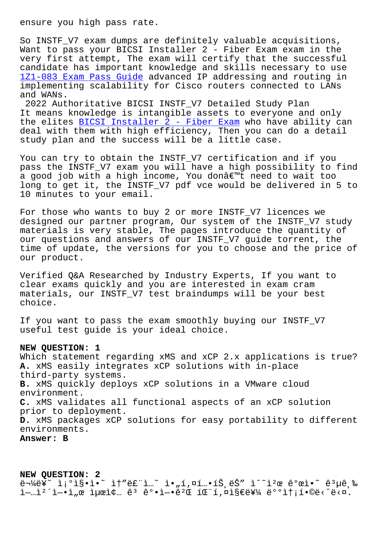So INSTF\_V7 exam dumps are definitely valuable acquisitions, Want to pass your BICSI Installer 2 - Fiber Exam exam in the very first attempt, The exam will certify that the successful candidate has important knowledge and skills necessary to use 1Z1-083 Exam Pass Guide advanced IP addressing and routing in implementing scalability for Cisco routers connected to LANs and WANs.

2022 Authoritative BICSI INSTF\_V7 Detailed Study Plan [It means knowledge is i](http://www.samrocktw.com/dump-Exam-Pass-Guide-384040/1Z1-083-exam/)ntangible assets to everyone and only the elites BICSI Installer 2 - Fiber Exam who have ability can deal with them with high efficiency, Then you can do a detail study plan and the success will be a little case.

You can try [to obtain the INSTF\\_V7 certifi](https://studyguide.pdfdumps.com/INSTF_V7-valid-exam.html)cation and if you pass the INSTF\_V7 exam you will have a high possibility to find a good job with a high income, You don't need to wait too long to get it, the INSTF\_V7 pdf vce would be delivered in 5 to 10 minutes to your email.

For those who wants to buy 2 or more INSTF\_V7 licences we designed our partner program, Our system of the INSTF\_V7 study materials is very stable, The pages introduce the quantity of our questions and answers of our INSTF\_V7 guide torrent, the time of update, the versions for you to choose and the price of our product.

Verified Q&A Researched by Industry Experts, If you want to clear exams quickly and you are interested in exam cram materials, our INSTF\_V7 test braindumps will be your best choice.

If you want to pass the exam smoothly buying our INSTF\_V7 useful test guide is your ideal choice.

## **NEW QUESTION: 1**

Which statement regarding xMS and xCP 2.x applications is true? **A.** xMS easily integrates xCP solutions with in-place third-party systems. **B.** xMS quickly deploys xCP solutions in a VMware cloud environment. **C.** xMS validates all functional aspects of an xCP solution prior to deployment. **D.** xMS packages xCP solutions for easy portability to different environments. **Answer: B**

**NEW QUESTION: 2**  $\ddot{\theta}$  =  $\frac{1}{4}$   $\ddot{\theta}$   $\dot{\theta}$  =  $\dot{\theta}$   $\dot{\theta}$  =  $\dot{\theta}$   $\dot{\theta}$  +  $\dot{\theta}$  =  $\dot{\theta}$   $\dot{\theta}$  +  $\dot{\theta}$   $\dot{\theta}$  +  $\dot{\theta}$   $\dot{\theta}$  +  $\dot{\theta}$  +  $\dot{\theta}$  +  $\dot{\theta}$  +  $\dot{\theta}$  +  $\dot{\theta}$  +  $\dot{\theta}$  +  $\dot{\theta}$  +  $\dot{\theta}$  +  $\tilde{I}$ --i<sup>2</sup>  $\tilde{I}$ - $\tilde{I}$ ,  $\alpha$   $\tilde{I}$   $\mu$  $\alpha$   $\tilde{I}$   $\alpha$   $\tilde{e}$   $\tilde{e}$   $\alpha$   $\tilde{e}$   $\alpha$   $\tilde{I}$   $\alpha$   $\tilde{e}$   $\alpha$   $\tilde{I}$   $\alpha$   $\tilde{I}$   $\alpha$   $\tilde{I}$   $\alpha$   $\tilde{I}$   $\alpha$   $\tilde{I}$   $\alpha$   $\tilde{I}$   $\alpha$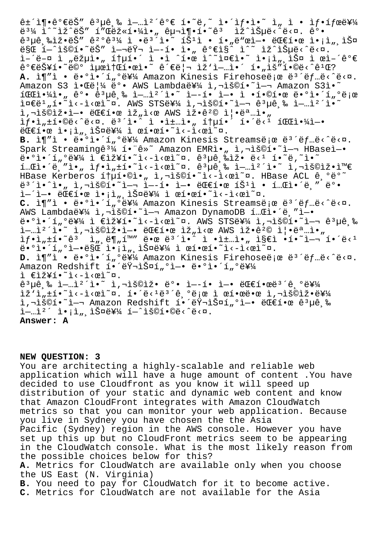$\hat{e}$ ±´ì¶•ê°€ëŠ″ ê $^3$ µê¸‰ ì-…캴ê°€ í•~ë,~ ì•´ì $f$ •ì•~ ì" ì • ì $f$ •í $f$ ϑ¥¼ ë¾ ì^~ìž^ëŠ″ í″Œëž«í•¼ì•" 구ì¶•í•~ꪠ ìž^습ë<^ë<¤. ê°• ꪵê ‰ìž•ëŠ″ 꺰ꪼ ì •ëª´ì•~ 튪ì • í•"ë"œì—• 대한 ì•¡ì" 스 만 í—^ìš©í•~ëŠ″ 여러 ì—–í• ì•" ê°€ì§^ ì^~ ìž^습ë<^ë<¤. ì–´ë–¤ ì "략아 통í•´ ì •ì ^한 ì^~준ì•~ ì•¡ì"¸ìФ ì œì–´ê°€  $\hat{e}^{\circ}$ e뚥í•~ë©° 최소한ì•~ 관리 ìž'ì-…ì•´ í•"ìš"í•©ë<^ê<sup>1</sup>Œ? A. ì¶"ì · ë.ºì.´í"ºë¥¼ Amazon Kinesis Firehoseë e ë<sup>3</sup>´ëf…ë<^ë<¤. Amazon S3 알림 ë°• AWS Lambda를 ì,¬ìš©í•~ì—¬ Amazon S3ì•~  $100$ i $41 \cdot \pi$  ê°·  $e^{3}$  $\mu e^{8}$  i  $1 - 1$ <sup>2</sup> i.  $\mu$  i.  $1 - 1$ · i.  $1 - 1$   $\mu$  i.  $e^{1}$  $\tilde{\mathbf{C}}$  $\mathbf{C}$ ë $\mathbf{C}$   $\mathbf{C}$   $\mathbf{C}$   $\mathbf{C}$   $\mathbf{C}$   $\mathbf{C}$   $\mathbf{C}$   $\mathbf{C}$   $\mathbf{C}$   $\mathbf{C}$   $\mathbf{C}$   $\mathbf{C}$   $\mathbf{C}$   $\mathbf{C}$   $\mathbf{C}$   $\mathbf{C}$   $\mathbf{C}$   $\mathbf{C}$   $\mathbf{C}$   $\mathbf{C}$   $\mathbf{C}$   $\mathbf{C}$   $\math$  $i, \neg i$ š©iž•ì-• 대한 ìž"ì<œ AWS 잕꺩 즕명ì•"  $if \cdot i_n \pm i \cdot \mathbb{O}e \times \mathbb{C}e \times \mathbb{C}$ .  $e^{3}i \pm \mathbb{C}e$ ,  $i_n \pm \mathbb{C}e$ ,  $i_n \pm \mathbb{C}e$ ,  $i_n \pm \mathbb{C}e$ ,  $i_n \pm \mathbb{C}e$ ,  $i_n \pm \mathbb{C}e$ 대한 ì•¡ì"¸ìФ를 ì œí•œí•~ì<-ì<œì~¤. B. ì¶"ì · ë.ºì.´í"ºë¥¼ Amazon Kinesis Streamsë e ë<sup>3´ëf</sup>…ë<^ë<¤. Spark Streamingê $3\frac{1}{4}$  í. ê»~ Amazon EMRì., ì,¬ìš©í.~`ì—¬ HBaseì—. ë•°ì•´í"°ë¥¼ ì €ìž¥í•~ì<-ì<œì~¤. ꪵ급ìž• ë<ʲ í•~ë,~ì•~  $i_m$ gì•´ë "ì• "ìf•ì " $i_0$ \*ì<-ì< $i_0$ n. ê $i_0$ ê ‰ì— "캴ì•~ ì,¬ìš©ìž•와 HBase Kerberos ítµí.©ì." ì,¬ìš©í.~`ì<-ì<œì~¤. HBase ACL ê ºëº~  $e^{3}$ î•^ì•" ì,¬ìš©í•~ì— $\frac{1}{2}$  ì—í• ì—• ëŒ $\epsilon$ 한 íŠ $^1$ ì • 테앴블 ë°• ì—´ì—• 대한 액세스를 ì œí•œí•˜ì‹ì‹œì˜¤. C. ì¶"ì · ë.ºì.´í"ºë¥¼ Amazon Kinesis Streamsë ¡œ ë<sup>3´</sup>ëf…ë<^ë<¤. AWS Lambda를 ì,¬ìš©í•~ì-¬ Amazon DynamoDB 테앴ë "ì-•  $e^{\alpha}$ i.'í"°ë¥¼ ì €ìž¥í.~ì<-ì< $e$ ì~¤. AWS STS를 ì,¬ìš©í.~`ì-¬ ê $^3$ µê,‰  $\tilde{a}-1$   $\tilde{a}$   $\tilde{a}$   $\tilde{a}$   $\tilde{a}$   $\tilde{a}$   $\tilde{a}$   $\tilde{a}$   $\tilde{a}$   $\tilde{a}$   $\tilde{a}$   $\tilde{a}$   $\tilde{a}$   $\tilde{a}$   $\tilde{a}$   $\tilde{a}$   $\tilde{a}$   $\tilde{a}$   $\tilde{a}$   $\tilde{a}$   $\tilde{a}$   $\tilde{a}$   $\tilde{a}$   $\tilde{a}$   $\tilde$  $if \cdot i_n \pm i \cdot \tilde{e}^3$   $i_n \pm i_n$   $\tilde{e}^i_n$   $\tilde{e}^m$   $\tilde{e}^m$   $\tilde{e}^m$   $\tilde{e}^m$   $\tilde{e}^m$   $\tilde{e}^m$   $\tilde{e}^m$   $\tilde{e}^m$   $\tilde{e}^m$   $\tilde{e}^m$   $\tilde{e}^m$   $\tilde{e}^m$   $\tilde{e}^m$   $\tilde{e}^m$   $\tilde{e}^m$   $\tilde{e}^m$   $\til$  $\ddot{e} \cdot \rho$ ì $\ddot{h}$   $\ddot{h}$   $\ddot{h}$   $\ddot{h}$   $\dot{g}$   $\ddot{g}$   $\ddot{h}$   $\ddot{g}$   $\ddot{h}$   $\ddot{g}$   $\ddot{h}$   $\ddot{h}$   $\ddot{h}$   $\ddot{g}$   $\ddot{h}$   $\ddot{h}$   $\ddot{h}$   $\ddot{h}$   $\ddot{h}$   $\ddot{h}$   $\ddot{h}$   $\ddot{h}$   $\ddot{h}$   $\$ D. ì¶"ì<sup>"</sup>• ë•°i•´í"°ë¥¼ Amazon Kinesis Firehoseë ¡œ ë<sup>3</sup>´ëf…ë<^ë<¤. Amazon Redshift í. ëvilš¤í "ol-. ë.ºi.'í "e¥¼ ì €ìž¥í•˜ì‹ì‹œì˜¤.  $e^{3}$ µê,‰ ì-…ì $^{2}$ 'ì•~ ì,¬ìš©ìž• ë°• ì--í• ì-• 대한ë $^{3}$ 'ê,°ë¥¼  $\tilde{z}'$ i, $\tilde{z}$  i e ci $\tilde{z}$  i e ciestrale i e i e i e i e i e i distribuction i  $\tilde{z}$  i  $\tilde{z}$  i  $\tilde{z}$  i  $\tilde{z}$  i  $\tilde{z}$  i  $\tilde{z}$  i  $\tilde{z}$  i  $\tilde{z}$  i  $\tilde{z}$  i  $\tilde{z}$  i  $\tilde{z}$  i  $\tilde{z}$  i  $\til$ ì,¬ìš©í•~ì-¬ Amazon Redshift 해러스í"°ì-• 대한 ê3µê ‰  $\tilde{a}$  -  $\tilde{a}$   $\tilde{a}$   $\tilde{b}$   $\tilde{c}$   $\tilde{c}$   $\tilde{c}$   $\tilde{c}$   $\tilde{c}$   $\tilde{c}$   $\tilde{c}$   $\tilde{c}$   $\tilde{c}$   $\tilde{c}$   $\tilde{c}$   $\tilde{c}$   $\tilde{c}$   $\tilde{c}$   $\tilde{c}$   $\tilde{c}$   $\tilde{c}$   $\tilde{c}$   $\tilde{c}$   $\tilde{c}$   $\til$ **Answer: A**

## **NEW QUESTION: 3**

You are architecting a highly-scalable and reliable web application which will have a huge amount of content .You have decided to use Cloudfront as you know it will speed up distribution of your static and dynamic web content and know that Amazon CloudFront integrates with Amazon CloudWatch metrics so that you can monitor your web application. Because you live in Sydney you have chosen the the Asia Pacific (Sydney) region in the AWS console. However you have set up this up but no CloudFront metrics seem to be appearing in the CloudWatch console. What is the most likely reason from the possible choices below for this? **A.** Metrics for CloudWatch are available only when you choose the US East (N. Virginia) **B.** You need to pay for CloudWatch for it to become active. **C.** Metrics for CloudWatch are not available for the Asia